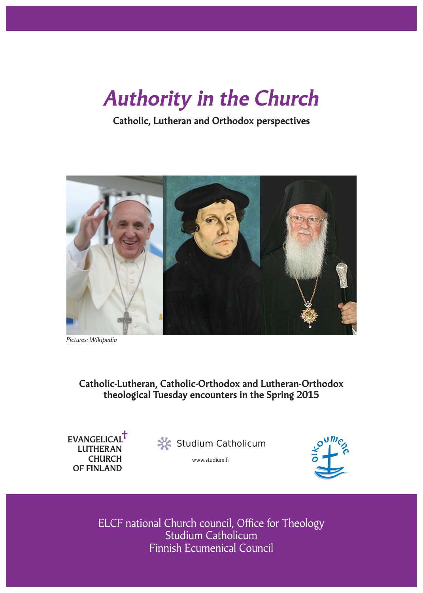# *Authority in the Church*

## **Catholic, Lutheran and Orthodox perspectives**



*Pictures: Wikipedia*

**Catholic-Lutheran, Catholic-Orthodox and Lutheran-Orthodox theological Tuesday encounters in the Spring 2015**

**EVANGELICAL¤ LUTHERAN CHURCH OF FINLAND**

Studium Catholicum

www.studium.fi



ELCF national Church council, Office for Theology Studium Catholicum Finnish Ecumenical Council